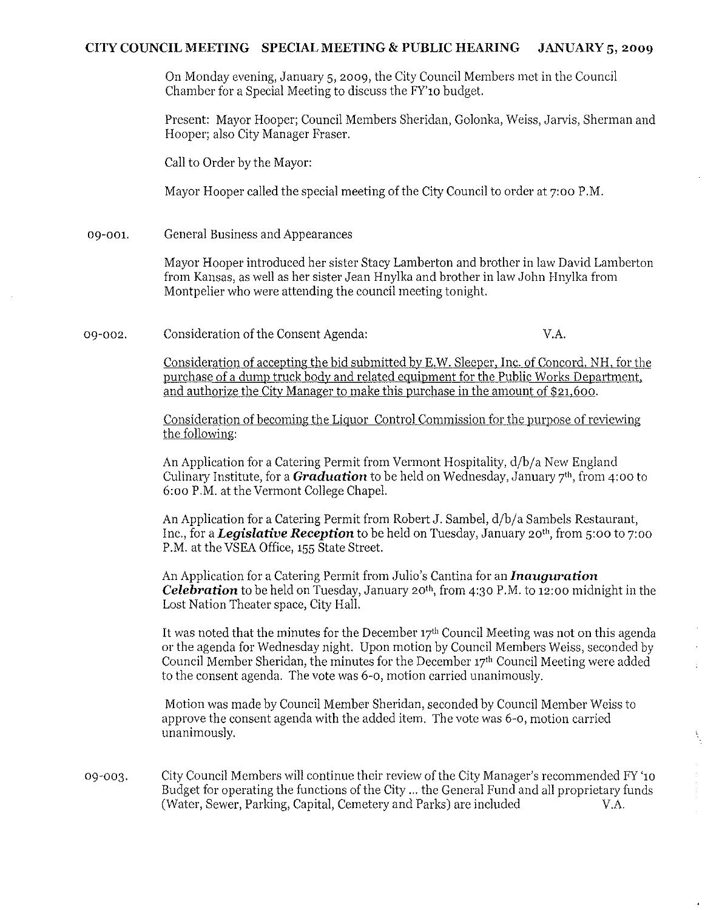# **CITY COUNCIL MEETING SPECIAL MEETING & PUBLIC HEARING JANUARY 5, 2009**

On Monday evening, January 5,2009, the City Council Members met in the Council Chamber for a Special Meeting to discuss the FY'10 budget.

Present: Mayor Hooper; Council Members Sheridan, Golonka, Weiss, Jarvis, Sherman and Hooper; also City Manager Fraser.

Call to Order by the Mayor:

Mayor Hooper called the special meeting of the City Council to order at 7:00 P.M.

09-001. General Business and Appearances

> Mayor Hooper introduced her sister Stacy Lamberton and brother in law David Lamberton from Kansas, as well as her sister Jean Hnylka and brother in law John Hnylka from Montpelier who were attending the council meeting tonight.

09-002. Consideration of the Consent Agenda: V.A.

ţ

Consideration of accepting the bid submitted by E.W. Sleeper, Inc. of Concord, NH, for the purchase of a dump truck body and related equipment for the Public Works Department, and authorize the City Manager to make this purchase in the amount of \$21,600.

Consideration of becoming the Liquor Control Commission for the purpose of reviewing the following:

An Application for a Catering Permit from Vermont Hospitality, d/b/a New England Culinary Institute, for a *Graduation* to be held on Wednesday, January 7<sup>th</sup>, from 4:00 to 6:00 P.M. at the Vermont College Chapel.

An Application for a Catering Permit from Robert J. Sambel, d/b/a Sambels Restaurant, Inc., for a *Legislative Reception* to be held on Tuesday, January 20th, from 5:00 to 7:00 P.M. at the VSEA Office, 155 State Street.

An Application for a Catering Permit from Julio's Cantina for an *Inauguration Celebration* to be held on Tuesday, January 20th, from 4:30 P.M. to 12:00 midnight in the Lost Nation Theater space, City Hall.

It was noted that the minutes for the December  $17<sup>th</sup>$  Council Meeting was not on this agenda or the agenda for Wednesday night. Upon motion by Council Members Weiss, seconded by Council Member Sheridan, the minutes for the December 17'h Council Meeting were added to the consent agenda. The vote was 6-0, motion carried unanimously.

Motion was made by Council Member Sheridan, seconded by Council Member Weiss to approve the consent agenda with the added item. The vote was 6-0, motion carried unanimously.

City Council Members will continue their review of the City Manager's recommended FY '10 09-003. Budget for operating the functions of the City ... the General Fund and all proprietary funds (Water, Sewer, Parking, Capital, Cemetery and Parks) are included V.A.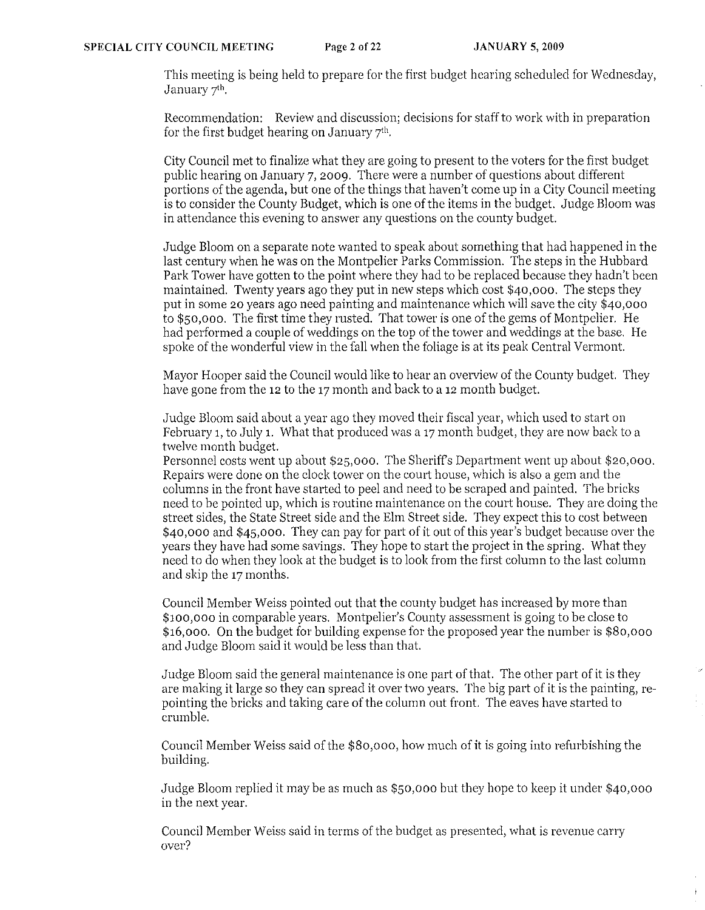This meeting is being held to prepare for the first budget hearing scheduled for Wednesday, January 7'h.

Recommendation: Review and discussion; decisions for staff to work with in preparation for the first budget hearing on January  $7<sup>th</sup>$ .

City Council met to finalize what they are going to present to the voters for the first budget public hearing on January 7,2009. There were a number of questions about different portions of the agenda, but one of the things that haven't come up in a City Council meeting is to consider the County Budget, which is one of the items in the budget. Judge Bloom was in attendance this evening to answer any questions on the county budget.

Judge Bloom on a separate note wanted to speak about something that had happened in the last century when he was on the Montpelier Parks Commission. The steps in the Hubbard Park Tower have gotten to the point where they had to be replaced because they hadn't been maintained. Twenty years ago they put in new steps which cost \$40,000. The steps they put in some 20 years ago need painting and maintenance which will save the city \$40,000 to \$50,000. The first time they rusted. That tower is one of the gems of Montpelier. He had performed a couple of weddings on the top of the tower and weddings at the base. He spoke of the wonderful view in the fall when the foliage is at its peak Central Vermont.

Mayor Hooper said the Council would like to hear an overview of the County budget. They have gone from the 12 to the 17 month and back to a 12 month budget.

Judge Bloom said about a year ago they moved their fiscal year, which used to start on February 1, to July 1. What that produced was a 17 month budget, they are now back to a twelve month budget.

Personnel costs went up about \$25,000. The Sheriffs Department went up about \$20,000. Repairs were done on the clock tower on the court house, which is also a gem and the columns in the front have started to peel and need to be scraped and painted. The bricks need to be pointed up, which is routine maintenance on the court house. They are doing the street sides, the State Street side and the Elm Street side. They expect this to cost between \$40,000 and \$45,000. They can pay for part of it out of this year's budget because over the years they have had some savings. They hope to start the project in the spring. What they need to do when they look at the budget is to look from the first column to the last column and skip the 17 months.

Council Member Weiss pointed out that the county budget has increased by more than \$100,000 in comparable years. Montpelier's County assessment is going to be close to \$16,000. On the budget for building expense for the proposed year the number is \$80,000 and Judge Bloom said it would be less than that.

Judge Bloom said the general maintenance is one part of that. The other part of it is they are making it large so they can spread it over two years. The big part of it is the painting, repainting the bricks and taking care of the column out front. The eaves have started to crumble.

Council Member Weiss said of the \$80,000, how much of it is going into refurbishing the building.

.Judge Bloom replied it may be as much as \$50,000 but they hope to keep it under \$40,000 in the next year.

Council Member Weiss said in terms of the budget as presented, what is revenue carry over?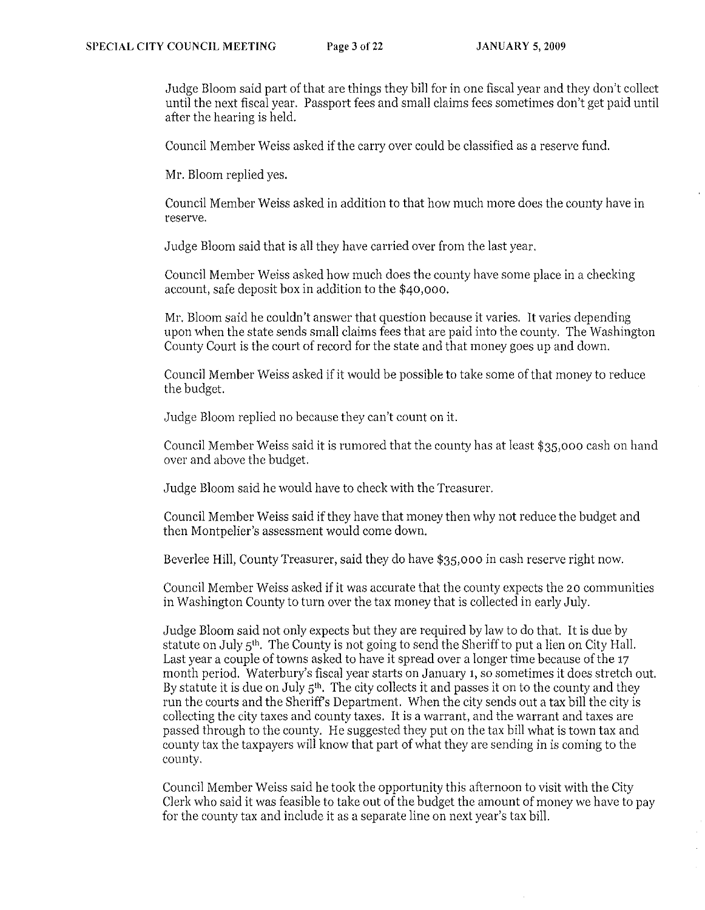Judge Bloom said part of that are things they bill for in one fiscal year and they don't collect until the next fiscal year. Passport fees and small claims fees sometimes don't get paid until after the hearing is held.

Council Member Weiss asked if the carryover could be classified as a reserve fund.

Mr. Bloom replied yes.

Council Member Weiss asked in addition to that how much more does the county have in reserve.

Judge Bloom said that is all they have carried over from the last year.

Council Member Weiss asked how much does the county have some place in a checking account, safe deposit box in addition to the \$40,000.

Mr. Bloom said he couldn't answer that question because it varies. It varies depending upon when the state sends small claims fees that are paid into the county. The Washington County Court is the court of record for the state and that money goes up and down.

Council Member Weiss asked if it would be possible to take some of that money to reduce the budget.

Judge Bloom replied no because they can't count on it.

Council Member Weiss said it is rumored that the county has at least \$35,000 cash on hand over and above the budget.

Judge Bloom said he would have to check with the Treasurer.

Council Member Weiss said if they have that money then why not reduce the budget and then Montpelier's assessment would come down.

Beverlee Hill, County Treasurer, said they do have \$35,000 in cash reserve right now.

Council Member Weiss asked if it was accurate that the county expects the 20 communities in Washington County to turn over the tax money that is collected in early July.

Judge Bloom said not only expects but they are required by law to do that. It is due by statute on July  $5<sup>th</sup>$ . The County is not going to send the Sheriff to put a lien on City Hall. Last year a couple of towns asked to have it spread over a longer time because of the 17 month period. Waterbury's fiscal year starts on January 1, so sometimes it does stretch out. By statute it is due on July  $5<sup>th</sup>$ . The city collects it and passes it on to the county and they run the courts and the Sheriffs Department. When the city sends out a tax bill the city is collecting the city taxes and county taxes. It is a warrant, and the warrant and taxes are passed through to the county. He suggested they put on the tax bill what is town tax and county tax the taxpayers will know that part of what they are sending in is coming to the county.

Council Member Weiss said he took the opportunity this afternoon to visit with the City Clerk who said it was feasible to take out of the budget the amount of money we have to pay for the county tax and include it as a separate line on next year's tax bill.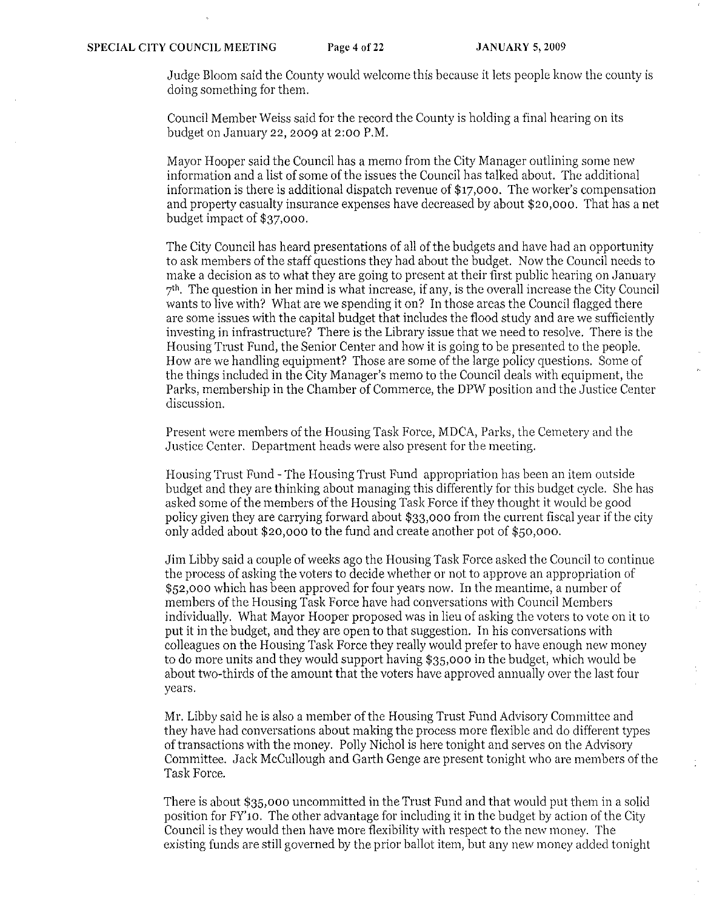Judge Bloom said the County would welcome this because it lets people know the county is doing something for them.

Council Member Weiss said for the record the County is holding a final hearing on its budget on January 22,2009 at 2:00 P.M.

Mayor Hooper said the Council has a memo from the City Manager outlining some new information and a list of some of the issues the Couneil has talked about. The additional information is there is additional dispatch revenue of \$17,000. The worker's compensation and property casualty insurance expenses have decreased by about \$20,000. That has a net budget impact of \$37,000.

The City Council has heard presentations of all of the budgets and have had an opportunity to ask members of the staff questions they had about the budget. Now the Council needs to make a decision as to what they are going to present at their first public hearing on January  $7<sup>th</sup>$ . The question in her mind is what increase, if any, is the overall increase the City Council wants to live with? What are we spending it on? In those areas the Council flagged there are some issues with the capital budget that includes the flood study and are we sufficiently investing in infrastructure? There is the Library issue that we need to resolve. There is the Housing Trust Fund, the Senior Center and how it is going to be presented to the people. How are we handling equipment? Those are some of the large policy questions. Some of the things included in the City Manager's memo to the Council deals "vith equipment, the Parks, membership in the Chamber of Commerce, the DPW position and the Justice Center discussion.

Present were members of the Housing Task Force, MDCA, Parks, the Cemetery and the Justice Center. Department heads were also present for the meeting.

Housing Trust Fund - The Housing Trust Fund appropriation has been an item outside budget and they are thinking about managing this differently for this budget cycle. She has asked some of the members of the Housing Task Force if they thought it would be good policy given they are carrying forward about \$33,000 from the current fiscal year if the city only added about \$20,000 to the fund and create another pot of \$50,000.

Jim Libby said a couple of weeks ago the Housing Task Force asked the Council to continue the process of asking the voters to decide whether or not to approve an appropriation of \$52,000 which has been approved for four years now. In the meantime, a number of members of the Housing Task Force have had conversations with Council Members individually. What Mayor Hooper proposed was in lieu of asking the voters to vote on it to put it in the budget, and they are open to that suggestion. In his conversations with colleagues on the Housing Task Force they really would prefer to have enough new money to do more units and they would support having \$35,000 in the budget, which would be about two-thirds of the amount that the voters have approved annually over the last four years.

Mr. Libby said he is also a member of the Housing Trust Fund Advisory Committee and they have had conversations about making the process more flexible and do different types of transactions with the money. Polly Nichol is here tonight and serves on the Advisory Committee. Jack McCullough and Garth Genge are present tonight who are members of the Task Force.

There is about \$35,000 uncommitted in the Trust Fund and that would put them in a solid position for FY'10. The other advantage for including it in the budget by action of the City Council is they would then have more flexibility with respect to the new money. The existing funds are still governed by the prior ballot item, but any new money added tonight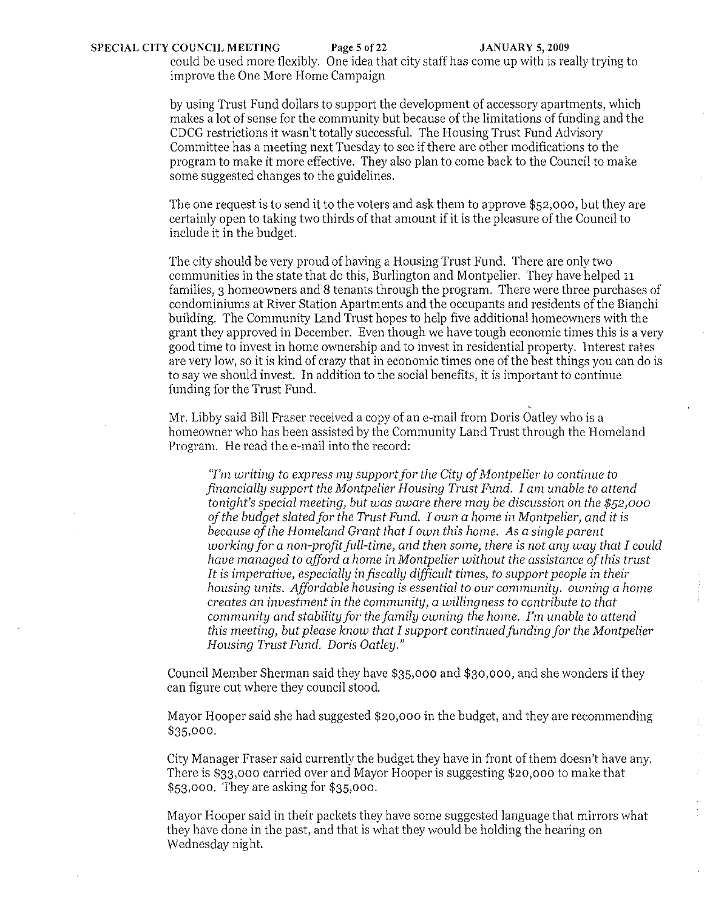could be used more flexibly. One idea that city staff has come up with is really trying to improve the One More Home Campaign

by using Trust Fund dollars to support the development of accessory apartments, which makes a lot of sense for the community but because of the limitations of funding and the CDCG restrictions it wasn't totally successful. The Housing Trust Fund Advisory Committee has a meeting next Tuesday to see if there are other modifications to the program to make it more effective. They also plan to come back to the Council to make some suggested changes to the guidelines.

The one request is to send it to the voters and ask them to approve \$52,000, but they are certainly open to taking two thirds of that amount if it is the pleasure of the Council to include it in the budget.

The city should be very proud of having a Housing Trust Fund. There are only two communities in the state that do this, Burlington and Montpelier. They have helped 11 families, 3 homeowners and 8 tenants through the program. There were three purchases of condominiums at River Station Apartments and the occupants and residents of the Bianchi building. The Community Land Trust hopes to help five additional homeowners with the grant they approved in December. Even though we have tough economic times this is a very good time to invest in home ownership and to invest in residential property. Interest rates are very low, so it is kind of crazy that in economic times one of the best things you can do is to say we should invest. In addition to the social benefits, it is important to continue funding for the Trust Fund.

Mr. Libby said Bill Fraser received a copy of an e-mail from Doris Oatley who is a homeowner who has been assisted by the Community Land Trust through the Homeland Program. He read the e-mail into the record:

*''I'm writing to express my supportfor the City of Montpelier to continue to financially support the Montpelier Housing Trust Fund. I am unable to attend tonight's special meeting, but was aware there may be discussion* on *the* \$52,000 *of the budget slatedfor the Trust Fund. I own a home in Montpelier, and it is because of the Homeland Grant that I own this home. As a single parent working for a non-profit full-time, and then some, there is not any way that I could have managed to afford a home in Montpelier without the assistance of this trust*  It is *imperative, especially in fiscally difficult times, to support people in their housing units. Affordable housing is essential to our community. owning a home creates an investment* in *the community, a willingness to contribute to that community and stability for the family owning the home. I'm unable to attend this meeting, but please know that I support continued funding for the Montpelier Housing Trust Fund. Doris Oatley."* 

Council Member Sherman said they have \$35,000 and \$30,000, and she wonders if they can figure out where they council stood.

Mayor Hooper said she had suggested \$20,000 in the budget, and they are recommending \$35,000.

City Manager Fraser said currently the budget they have in front of them doesn't have any. There is \$33,000 carried over and Mayor Hooper is suggesting \$20,000 to make that \$53,000. They are asking for \$35,000.

Mayor Hooper said in their packets they have some suggested language that mirrors what they have done in the past, and that is what they would be holding the hearing on Wednesday night.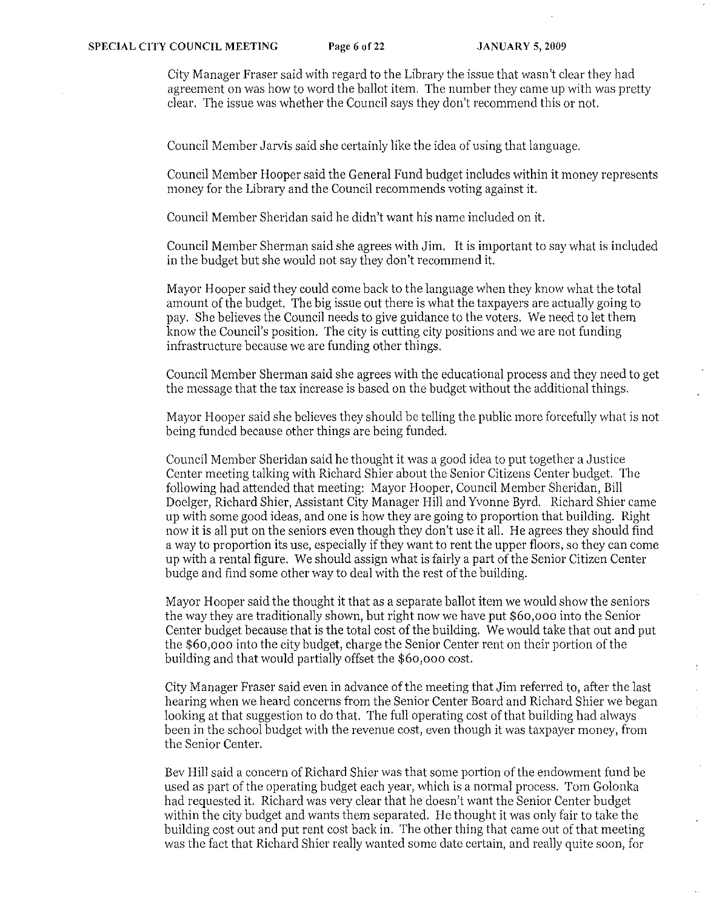City Manager Fraser said with regard to the Library the issue that wasn't clear they had agreement on was how to word the ballot item. The number they came up with was pretty clear. The issue was whether the Council says they don't recommend this or not.

Council Member Jarvis said she certainly like the idea of using that language.

Council Member Hooper said the General Fund budget includes within it money represents money for the Library and the Council recommends voting against it.

Council Member Sheridan said he didn't want his name included on it.

Council Member Sherman said she agrees with Jim. It is important to say what is included in the budget but she would not say they don't recommend it.

Mayor Hooper said they could come back to the language when they know what the total amount of the budget. The big issue out there is what the taxpayers are actually going to pay. She believes the Council needs to give guidance to the voters. We need to let them know the Council's position. The city is cutting city positions and we are not funding infrastructure because we are funding other things.

Council Member Sherman said she agrees with the educational process and they need to get the message that the tax increase is based on the budget without the additional things.

Mayor Hooper said she believes they should be telling the public more forcefully what is not being funded because other things are being funded.

Council Member Sheridan said he thought it was a good idea to put together a Justice Center meeting talking with Richard Shier about the Senior Citizens Center budget. The following had attended that meeting: Mayor Hooper, Council Member Sheridan, Bill Doelger, Richard Shier, Assistant City Manager Hill and Yvonne Byrd. Richard Shier came up with some good ideas, and one is how they are going to proportion that building. Right now it is all put on the seniors even though they don't use it all. He agrees they should find a way to proportion its use, especially if they want to rent the upper floors, so they can come up with a rental figure. We should assign what is fairly a part of the Senior Citizen Center budge and find some other way to deal with the rest of the building.

Mayor Hooper said the thought it that as a separate ballot item we would show the seniors the way they are traditionally shown, but right now we have put \$60,000 into the Senior Center budget because that is the total cost of the building. We would take that out and put the \$60,000 into the city budget, charge the Senior Center rent on their portion of the building and that would partially offset the \$60,000 cost.

 $\frac{1}{2}$ 

City Manager Fraser said even in advance of the meeting that Jim referred to, after the last hearing when we heard concerns from the Senior Center Board and Richard Shier we began looking at that suggestion to do that. The full operating cost of that building had always been in the school budget with the revenue cost, even though it was taxpayer money, from the Senior Center.

Bev Hill said a concern of Richard Shier was that some portion of the endowment fund be used as part of the operating budget each year, which is a normal process. Tom Golonka had requested it. Richard was very clear that he doesn't want the Senior Center budget within the city budget and wants them separated. He thought it was only fair to take the building cost out and put rent cost back in. The other thing that came out of that meeting was the fact that Richard Shier really wanted some date certain, and really quite soon, for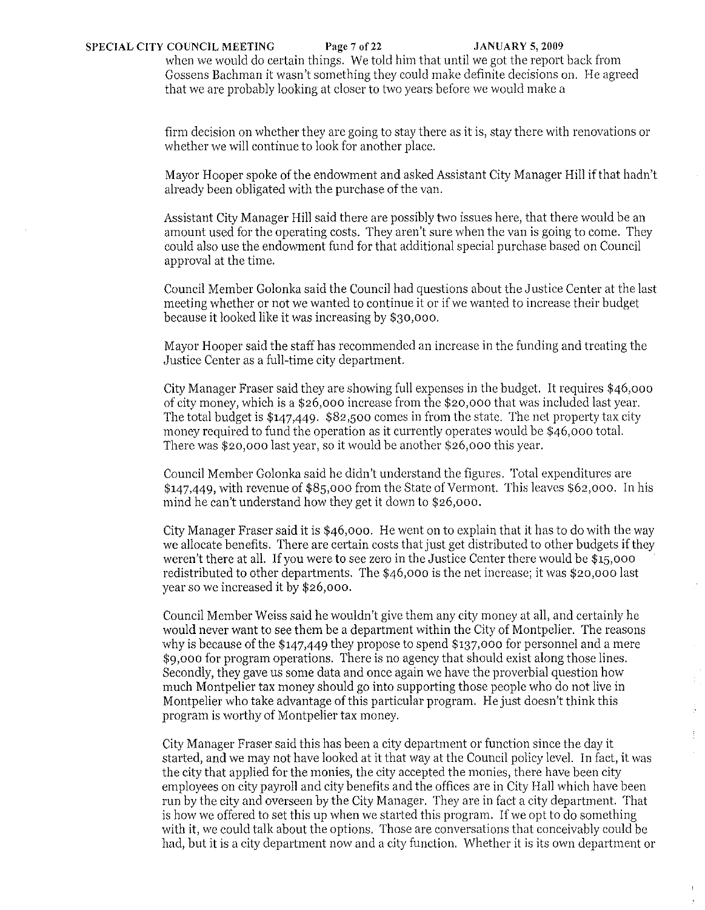when we would do certain things. We told him that until we got the report back from Gossens Bachman it wasn't something they could make definite decisions on. He agreed that we are probably looking at closer to two years before we would make a

firm decision on whether they are going to stay there as it is, stay there with renovations or whether we will continue to look for another place.

Mayor Hooper spoke of the endowment and asked Assistant City Manager Hill if that hadn't already been obligated with the purchase of the van.

Assistant City Manager Hill said there are possibly two issues here, that there would be an amount used for the operating costs. They aren't sure when the van is going to come. They could also use the endowment fund for that additional special purchase based on Council approval at the time.

Council Member Golonka said the Council had questions about the Justice Center at the last meeting whether or not we wanted to continue it or if we wanted to increase their budget because it looked like it was increasing by \$30,000.

Mayor Hooper said the staff has recommended an increase in the funding and treating the ,Justice Center as a full-time city department.

City Manager Fraser said they are showing full expenses in the budget. It requires \$46,000 of city money, which is a \$26,000 increase from the \$20,000 that was included last year. The total budget is \$147.449. \$82,500 comes in from the state. The net property tax city money required to fund the operation as it currently operates would be \$46,000 total. There was \$20,000 last year, so it would be another \$26,000 this year.

Council Member Golonka said he didn't understand the figures. Total expenditures are \$147.449, with revenue of \$85,000 from the State of Vermont. This leaves \$62,000. In his mind he can't understand how they get it down to \$26,000.

City Manager Fraser said it is \$46,000. He went on to explain that it has to do with the way we allocate benefits. There are certain costs that just get distributed to other budgets if they weren't there at all. If you were to see zero in the Justice Center there would be \$15,000 redistributed to other departments. The \$46,000 is the net increase; it was \$20,000 last year so we increased it by \$26,000.

Council Member Weiss said he wouldn't give them any city money at all, and certainly he would never want to see them be a department within the City of Montpelier. The reasons why is because of the \$147.449 they propose to spend \$137,000 for personnel and a mere \$9,000 for program operations. There is no agency that should exist along those lines. Secondly, they gave us some data and once again we have the proverbial question how much Montpelier tax money should go into supporting those people who do not live in Montpelier who take advantage of this particular program. He just doesn't think this program is worthy of Montpelier tax money.

 $\frac{1}{2}$ 

 $\pm$ 

City Manager Fraser said this has been a city department or function since the day it started, and we may not have looked at it that way at the Council policy level. In fact, it was the city that applied for the monies, the city accepted the monies, there have been city employees on city payroll and city benefits and the offices are in City Hall which have been run by the city and overseen by the City Manager. They are in fact a city department. That is how we offered to set this up when we started this program. If we opt to do something with it, we could talk about the options. Those are conversations that conceivably could be had, but it is a city department now and a city function. Whether it is its own department or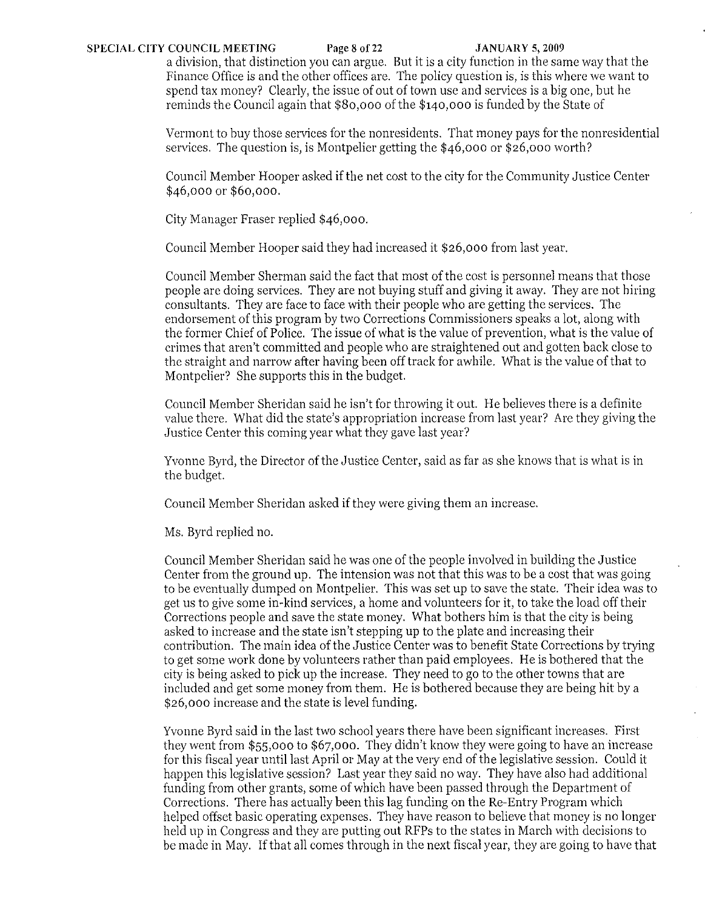### **SPECIAL CITY COUNCIL MEETING Page 8 of 22 JANUARY 5, 2009**

a division, that distinction you can argue. But it is a city function in the same way that the Finance Office is and the other offices are. The policy question is, is this where we want to spend tax money? Clearly, the issue of out of town use and services is a big one, but he reminds the Council again that \$80,000 of the \$140,000 is funded by the State of

Vermont to buy those services for the nonresidents. That money pays for the nonresidential services. The question is, is Montpelier getting the \$46,000 or \$26,000 worth?

Council Member Hooper asked if the net cost to the city for the Community Justice Center \$46,000 or \$60,000.

City Manager Fraser replied \$46,000.

Council Member Hooper said they had increased it \$26,000 from last year.

Council Member Sherman said the fact that most of the cost is personnel means that those people are doing services. They are not buying stuff and giving it away. They are not hiring consultants. They are face to face with their people who are getting the services. The endorsement of this program by two Corrections Commissioners speaks a lot, along with the former Chief of Police. The issue of what is the value of prevention, what is the value of crimes that aren't committed and people who are straightened out and gotten back close to the straight and narrow after having been off track for awhile. What is the value of that to Montpelier? She supports this in the budget.

Council Member Sheridan said he isn't for throwing it out. He believes there is a definite value there. What did the state's appropriation increase from last year? Are they giving the Justice Center this coming year what they gave last year'?

Yvonne Byrd, the Director of the Justice Center, said as far as she knows that is what is in the budget.

Council Member Sheridan asked if they were giving them an increase.

Ms. Byrd replied no.

Council Member Sheridan said he was one of the people involved in building the Justice Center from the ground up. The intension was not that this was to be a cost that was going to be eventually dumped on Montpelier. This was set up to save the state. Their idea was to get us to give some in-kind services, a home and volunteers for it, to take the load off their Corrections people and save the state money. What bothers him is that the city is being asked to increase and the state isn't stepping up to the plate and increasing their contribution. The main idea of the Justice Center was to benefit State Corrections by trying to get some work done by volunteers rather than paid employees. He is bothered that the city is being asked to piek up the increase. They need to go to the other towns that are included and get some money from them. He is bothered because they are being hit by a \$26,000 increase and the state is level funding.

Yvonne Byrd said in the last two school years there have been significant increases. First they went from \$55,000 to \$67,000. They didn't know they were going to have an increase for this fiscal year until last April or May at the very end of the legislative session. Could it happen this legislative session? Last year they said no way. They have also had additional funding from other grants, some of which have been passed through the Department of Corrections. There has actually been this lag funding on the Re-Entry Program which helped offset basic operating expenses. They have reason to believe that money is no longer held up in Congress and they are putting out RFPs to the states in March with decisions to be made in May. If that all comes through in the next fiscal year, they are going to have that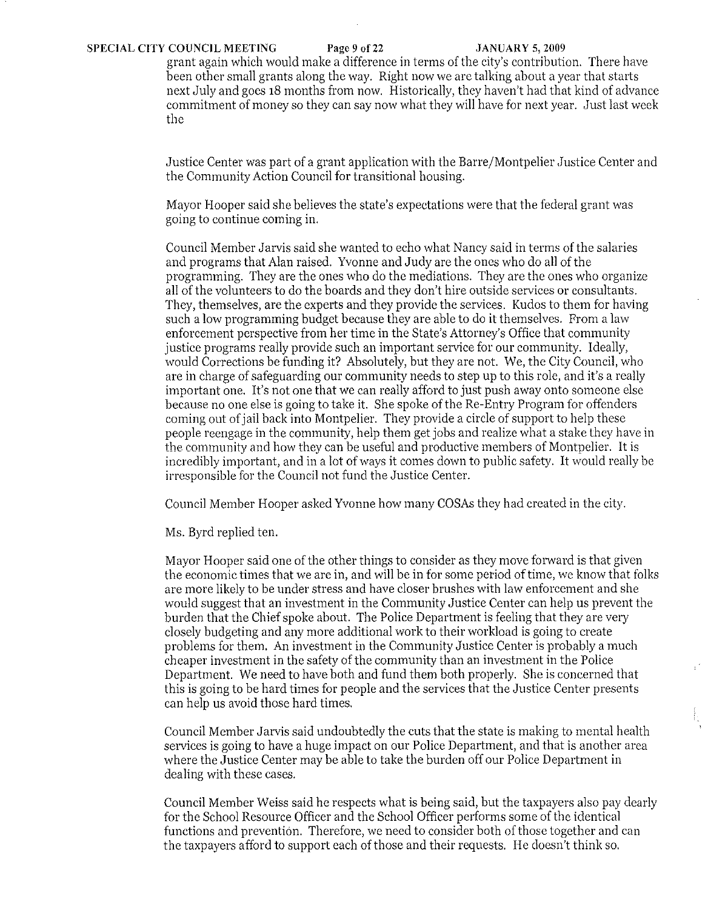grant again which would make a difference in terms of the city's contribution. There have been other small grants along the way. Right now we are talking about a year that statts next July and goes **18** months from now. Historically, they haven't had that kind of advance commitment of money so they can say now what they will have for next year. Just last week the

Justice Center was part of a grant application with the Barre/Montpelier Justice Center and the Community Action Council for transitional housing.

Mayor Hooper said she believes the state's expectations were that the federal grant was going to continue coming in.

Council Member Jarvis said she wanted to echo what Nancy said in terms of the salaries and programs that Alan raised. Yvonne and Judy are the ones who do all of the programming. They are the ones who do the mediations. They are the ones who organize all of the volunteers to do the boards and they don't hire outside services or consultants. They, themselves, are the experts and they provide the services. Kudos to them for having such a low programming budget because they are able to do it themselves. From a law enforcement perspective from her time in the State's Attorney's Office that community justice programs really provide such an important service for our community. Ideally, would Corrections be funding it? Absolutely, but they are not. We, the City Council, who are in charge of safeguarding our community needs to step up to this role, and it's a really important one. It's not one that *we* can really afford to just push away onto someone else because no one else is going to take it. She spoke of the Re-Entry Program for offenders coming out of jail back into Montpelier. They provide a circle of support to help these people reengage in the community, help them get jobs and realize what a stake they have in the community and how they can be useful and productive members of Montpelier. It is incredibly important, and in a lot of ways it comes down to public safety. It would really be irresponsible for the Council not fund the Justice Center.

Council Member Hooper asked Yvonne how many COSAs they had created in the city.

Ms. Byrd replied ten.

Mayor Hooper said one of the other things to consider as they move forward is that given the economic times that we are in, and will be in for some period of time, we know that folks are more likely to *be* under stress and have closer brushes with law enforcement and she would suggest that an investment in the Community Justice Center can help us prevent the burden that the Chief spoke about. The Police Department is feeling that they are very closely budgeting and any more additional work to their workload is going to create problems for them. An investment in the Community Justice Center is probably a much cheaper investment in the safety of the community than an investment in the Police Department. We need to have both and fund them both properly. She is concerned that this is going to be hard times for people and the services that the Justice Center presents can help us avoid those hard times.

Council Member Jarvis said undoubtedly the cuts that the state is making to mental health services is going to have a huge impact on our Police Department, and that is another area where the Justice Center may be able to take the burden off our Police Department in dealing with these cases.

Council Member Weiss said he respects what is being said, but the taxpayers also pay dearly for the School Resource Officer and the School Officer performs some of the identical functions and prevention. Therefore, *we* need to consider both of those together and can the taxpayers afford to support each of those and their requests. He doesn't think so.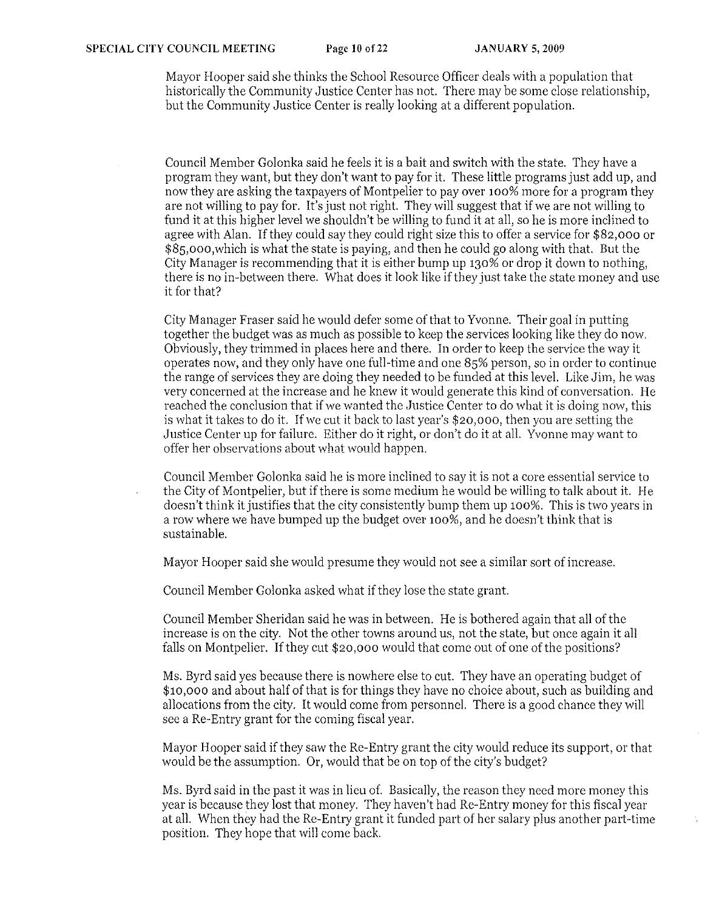Mayor Hooper said she thinks the School Resource Officer deals with a population that historically the Community Justice Center has not. There may be some close relationship, but the Community Justice Center is really looking at a different population.

Council Member Golonka said he feels it is a bait and switch with the state. They have a program they want, but they don't want to pay for it. These little programs just add up, and now they are asking the taxpayers of Montpelier to pay over 100% more for a program they are not willing to pay for. It's just not right. They will suggest that if we are not willing to fund it at this higher level we shouldn't be willing to fund it at all, so he is more inclined to agree with Alan. If they could say they eould right size this to offer a service for \$82,000 or \$8S,000,which is what the state is paying, and then he could go along with that. But the City Manager is recommending that it is either bump up 130% or drop it down to nothing, there is no in-between there. What does it look like if they just take the state money and use it for that?

City Manager Fraser said he would defer some of that to Yvonne. Their goal in putting together the budget was as much as possible to keep the services looking like they do now. Obviously, they trimmed in places here and there. In order to keep the service the way it operates now, and they only have one full-time and one 8S% person, so in order to continue the range of services they are doing they needed to be funded at this level. Like Jim, he was very concerned at the increase and he knew it would generate this kind of conversation. He reached the conclusion that if we wanted the Justice Center to do what it is doing now, this is what it takes to do it. Ifwe cut it back to last year's \$20,000, then you are setting the Justice Center up for failure. Either do it right, or don't do it at all. Yvonne may want to offer her observations about what would happen.

Council Member Golonka said he is more inclined to say it is not a core essential service to the City of Montpelier, but if there is some medium he would be willing to talk about it. He doesn't think it justifies that the city consistently bump them up 100%. This is two years in a row where we have bumped up the budget over 100%, and he doesn't think that is sustainable.

Mayor Hooper said she would presume they would not see a similar sort of increase.

Council Member Golonka asked what if they lose the state grant.

Council Member Sheridan said he was in between. He is bothered again that all of the increase is on the city. Not the other towns around us, not the state, but once again it all falls on Montpelier. If they cut \$20,000 would that come out of one of the positions?

Ms. Byrd said yes because there is nowhere else to cut. They have an operating budget of \$10,000 and about half of that is for things they have no choice about, such as building and allocations from the city. It would come from personnel. There is a good chance they will see a Re-Entry grant for the coming fiscal year.

Mayor Hooper said ifthey saw the Re-Entry grant the city would reduce its support, or that would be the assumption. Or, would that be on top of the city's budget?

Ms. Byrd said in the past it was in lieu of. Basically, the reason they need more money this year is because they lost that money. They haven't had Re-Entry money for this fiscal year at all. When they had the Re-Entry grant it funded part of her salary plus another part-time position. They hope that will come back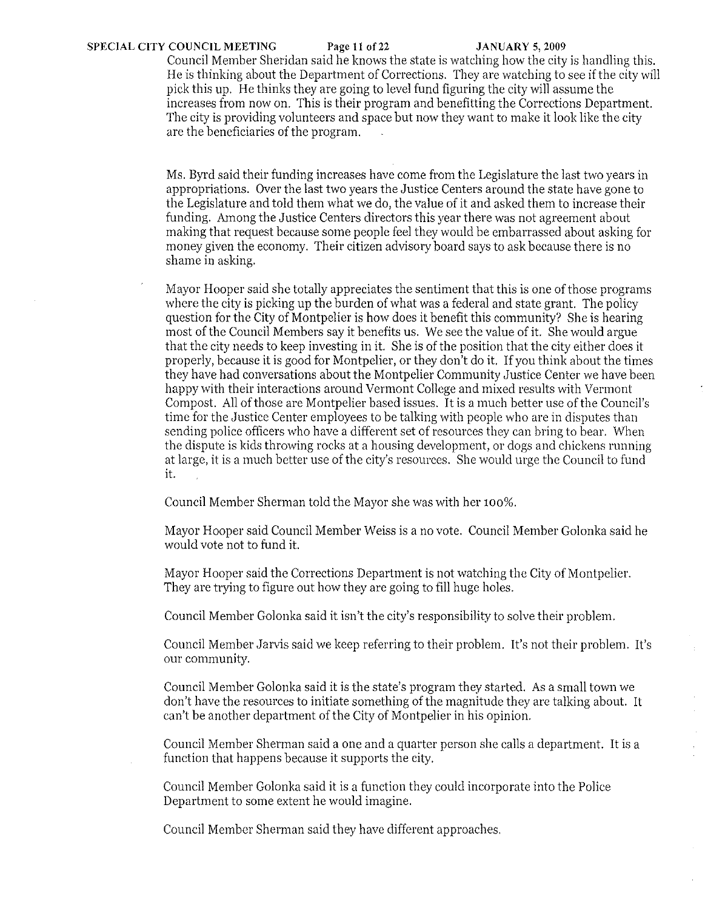Council Member Sheridan said he knows the state is watching how the city is handling this, He is thinking about the Department of Corrections, They are watching to see if the city will pick this up, He thinks they are going to level fund figuring the city will assume the increases from now on, This is their program and benefitting the Corrections Department. The city is providing volunteers and space but now they want to make it look like the city are the beneficiaries of the program,

Ms, Byrd said their funding increases have come from the Legislature the last two years in appropriations, Over the last two years the Justice Centers around the state have gone to the Legislature and told them what we do, the value of it and asked them to increase their funding, Among the Justice Centers directors this year there was not agreement about making that request because some people feel they would be embarrassed about asking for money given the economy. Their citizen advisory board says to ask because there is no shame in asking,

Mayor Hooper said she totally appreciates the sentiment that this is one of those programs where the city is picking up the burden of what was a federal and state grant. The policy question for the City of Montpelier is how does it benefit this community? She is hearing most of the Council Members say it benefits us, We see the value of it. She would argue that the city needs to keep investing in it. She is of the position that the city either does it properly, because it is good for Montpelier, or they don't do it. If you think about the times they have had conversations about the Montpelier Community Justice Center we have been happy with their interactions around Vermont College and mixed results with Vermont Compost. All of those are Montpelier based issues. It is a much better use of the Council's time for the Justice Center employees to be talking with people who arc in disputes than sending police officers who have a different set of resources they can bring to bear. When the disputc is kids throwing rocks at a housing development, or dogs and chickens running at large, it is a much better use of the city's resources, She would urge the Council to fund it.

Council Member Sherman told the Mayor she was with her 100%,

Mayor Hooper said Council Member Weiss is a no vote, Council Member Golonka said he would vote not to fund it.

Mayor Hooper said the Corrections Department is not watching the City of Montpelier. They are trying to figure out how they are going to fill huge holes,

Council Member Golonka said it isn't the city's responsibility to solve their problem,

Council Member Jarvis said we keep referring to their problem. It's not their problem, It's our community,

Council Member Golonka said it is the state's program they started, As a small town we don't have the resources to initiate something of the magnitude they are talking about. It can't be another department of the City of Montpelier in his opinion,

Council Member Sherman said a one and a quarter person she calls a depmtment, It is a function that happens because it supports the city,

Council Member Golonka said it is a function they could incorporate into the Police Department to some extent he would imagine,

Council Member Sherman said they have different approaches,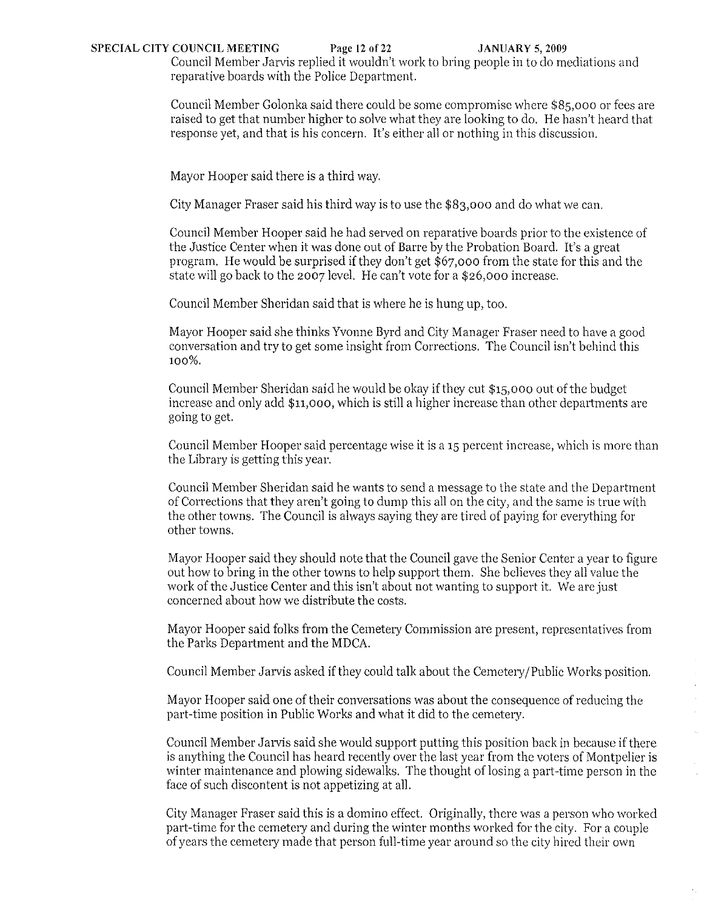## SPECIAL CITY COUNCIL MEETING Page 12 of 22 JANUARY 5, 2009

Council Member Jarvis replied it wouldn't work to bring people in to do mediations and reparative boards with the Police Department.

Council Member Golonka said there could be some compromise where \$85,000 or fees are raised to get that number higher to solve what they are looking to do. He hasn't heard that response yet, and that is his coneern. It's either all or nothing in this discussion.

Mayor Hooper said there is a third way.

City Manager Fraser said his third way is to use the \$83,000 and do what we can.

Council Member Hooper said he had served on reparative boards prior to the existence of the Justice Center when it was done out of Barre hy the Probation Board. It's a great program. He would be surprised if they don't get \$67,000 from the state for this and the state will go back to the 2007 level. He can't vote for a \$26,000 increase.

Council Member Sheridan said that is where he is hung up, too.

Mayor Hooper said she thinks Yvonne Byrd and City Manager Fraser need to have a good conversation and try to get some insight from Corrections. The Council isn't behind this 100%.

Council Member Sheridan said he would be okay if they cut \$15,000 out ofthe budget increase and only add \$11,000, which is still a higher increase than other departments are going to get.

Council Member Hooper said percentage wise it is a 15 percent increase, whieh is more than the Library is getting this year.

Council Member Sheridan said he wants to send a message to the state and the Department of Corrections that they aren't going to dump this all on the city, and the same is true with the other towns. The Conncil is always saying they are tired of paying for everything for other towns.

Mayor Hooper said they should note that the Couneil gave the Senior Center a year to figure out how to bring in the other towns to help support them. She believes they all value the work of the Justice Center and this isn't about not wanting to support it. We are just concerned about how we distribute the costs.

Mayor Hooper said folks from the Cemetery Commission are present, representatives from the Parks Department and the MDCA.

Council Member Jarvis asked ifthey could talk about the Cemetery/Public Works position.

Mayor Hooper said one of their conversations was about the consequence of reducing the part-time position in Public Works and what it did to the cemetery.

Council Member Jarvis said she would support putting this position back in because if there is anything the Council has heard recently over the last year from the voters of Montpelier is winter maintenance and plowing sidewalks. The thought of losing a part-time person in the face of such discontent is not appetizing at all.

City Manager Fraser said this is a domino effect. Originally, there was a person who worked part-time for the cemetery and during the winter months worked for the city. For a couple of years the cemetery made that person full-time year around so the city hired their own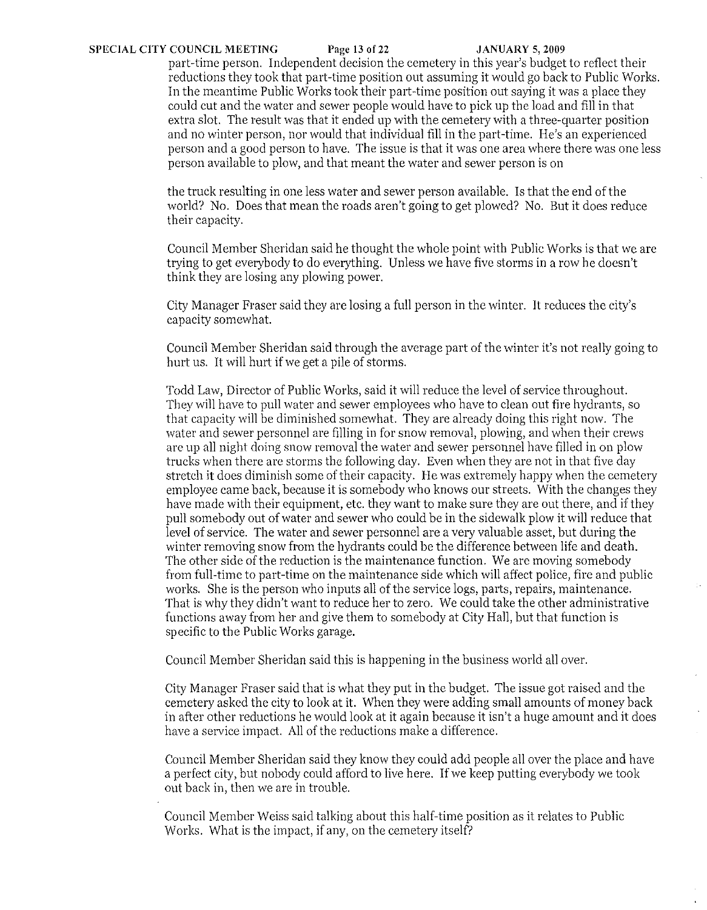### **SPECIAL CITY COUNCIL MEETING** Page **13** of22 **JANUARY** 5, 2009

part-time person. Independent decision the cemetery in this year's budget to reflect their reductions they took that part-time position out assuming it would go back to Public Works. In the meantime Public Works took their part-time position out saying it was a place they could cut and the water and sewer people would have to pick up the load and fill in that extra slot. The result was that it ended up with the cemetery with a three-quarter position and no winter person, nor would that individual fill in the part-time. He's an experienced person and a good person to have. The issue is that it was one area where there was one less person available to plow, and that meant the water and sewer person is on

the truck resulting in one less water and sewer person available. Is that the end of the world? No. Does that mean the roads aren't going to get plowed? No. But it does reduce their capacity.

Council Member Sheridan said he thought the whole point with Public Works is that we are trying to get everybody to do everything. Unless we have five storms in a row he doesn't think they are losing any plowing power.

City Manager Fraser said they are losing a full person in the winter. It reduces the city's capacity somewhat.

Council Member Sheridan said through the average part of the winter it's not really going to hurt us. It will hutt if we get a pile of storms.

Todd Law, Director of Public Works, said it will reduce the level of service throughout. They will have to pull water and sewer employees who have to clean out fire hydrants, so that capacity will be diminished somewhat. They are already doing this right now. The water and sewer personnel are filling in for snow removal, plowing, and when their crews arc up all night doing snow removal the water and sewer personnel have filled in on plow trucks when there are storms the following day. Even when they are not in that five day stretch it does diminish some of their capacity. He was extremely happy when the cemetery employee came back, because it is somebody who knows our streets. With the changes they have made with their equipment, etc. they want to make sure they are out there, and if they pull somebody out of water and sewer who could be in the sidewalk plow it will reduce that level of service. The water and sewer personnel are a very valuable asset, but during the winter removing snow from the hydrants could be the difference between life and death. The other side of the reduction is the maintenance function. We are moving somebody from full-time to part-time on the maintenance side which will affect police, fire and public works. She is the person who inputs all of the service logs, parts, repairs, maintenance. That is why they didn't want to reduee her to zero. We could take the other administrative functions away from her and give them to somebody at City Hall, but that function is specific to the Public Works garage.

Council Member Sheridan said this is happening in the business world all over.

City Manager Fraser said that is what they put in the budget. The issue got raised and the cemetery asked the city to look at it. When they were adding small amounts of money back in after other reductions he would look at it again because it isn't a huge amount and it does have a service impact. All of the reductions make a difference.

Council Member Sheridan said they know they could add people all over the place and have a perfect city, but nobody could afford to live here. If we keep putting everybody we took out back in, then we are in trouble.

Council Member Weiss said talking about this half-time position as it relates to Public Works. What is the impact, if any, on the cemetery itself?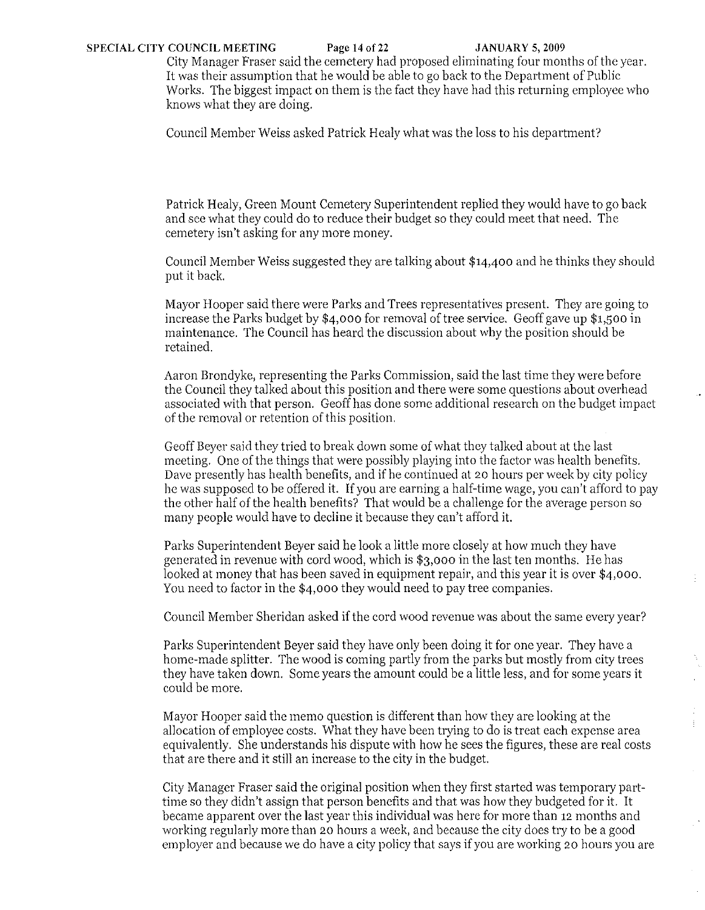City Manager Fraser said the cemetery had proposed eliminating four months of the year. It was their assumption that he would be able to go back to the Department of Public Works. The biggest impact on them is the fact they have had this returning employee who knows what they are doing.

Council Member Weiss asked Patrick Healy what was the loss to his department'!

Patrick Healy, Green Mount Cemetery Superintendent replied they would have to go back and see what they could do to reduce their budget so they could meet that need. The cemetery isn't asking for any more money.

Council Member Weiss suggested they are talking about \$14,400 and he thinks they should put it back

Mayor Hooper said there were Parks and Trees representatives present. They are going to increase the Parks budget by \$4,000 for removal of tree service. Geoff gave up \$1,500 in maintenance. The Council has heard the discussion about why the position should be retained.

Aaron Brondyke, representing the Parks Commission, said the last time they were before the Council they talked about this position and there were some questions about overhead associated with that person. Geoff has done some additional research on the budget impact of the removal or retention of this position.

Geoff Beyer said they tried to break down some of what they talked about at the last meeting. One of the things that were possibly playing into the factor was health benefits. Dave presently has health benefits, and if he continued at 20 hours per week by city policy he was supposed to be offered it. If you are earning a half-time wage, you can't afford to pay the other half of the health benefits? That would be a challenge for the average person so many people would have to decline it because they can't afford it.

Parks Superintendent Beyer said he look a little more closely at how much they have generated in revenue with cord wood, which is \$3,000 in the last ten months. He has looked at money that has been saved in equipment repair, and this year it is over \$4,000. You need to factor in the \$4,000 they would need to pay tree companies.

Council Member Sheridan asked if the cord wood revenue was about the same every year?

Parks Superintendent Beyer said they have only been doing it for one year. They have a home-made splitter. The wood is coming partly from the parks but mostly from city trees they have taken down. Some years the amount could be a little less, and for some years it could be more.

Mayor Hooper said the memo question is different than how they are looking at the allocation of employee costs. What they have been trying to do is treat each expense area equivalently. She understands his dispute with how he sees the figures, these are real costs that are there and it still an increase to the city in the budget.

王

 $\hat{\boldsymbol{\gamma}}$ 

City Manager Fraser said the original position when they first started was temporary parttime so they didn't assign that person benefits and that was how they budgeted for it. It became apparent over the last year this individual was here for more than 12 months and working regularly more than 20 hours a week, and because the city does try to be a good employer and because we do have a city policy that says if you are working 20 hours you are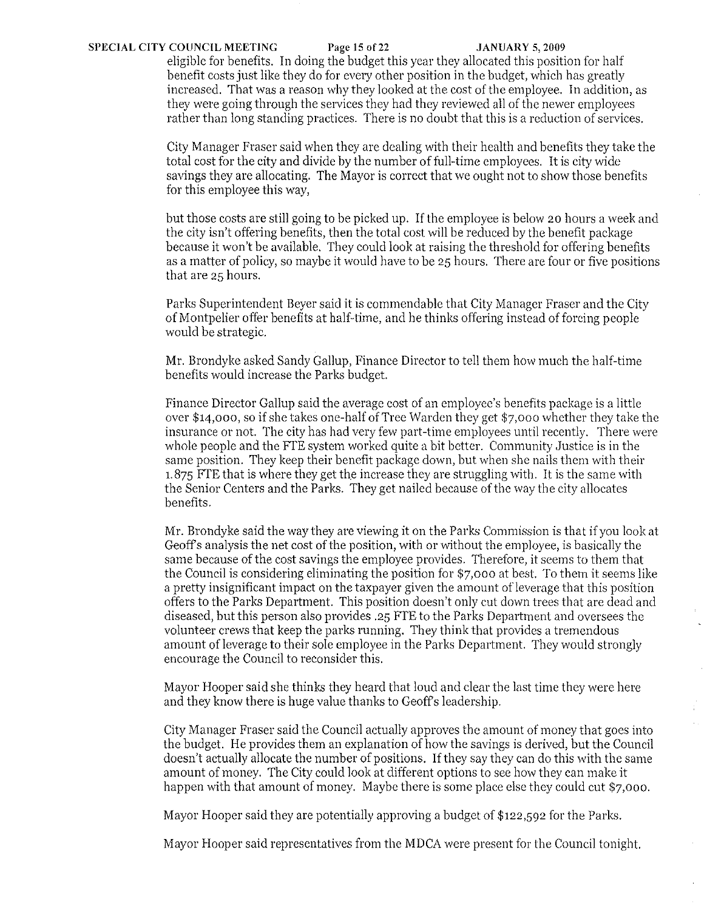### **SPECIAL CITY COUNCIL MEETING** Page **15** of22 **JANUARY** 5, 2009

eligible for benefits. In doing the budget this year they allocated this position for half benefit costs just like they do for every other position in the budget, which has greatly increased. That was a reason why they looked at the cost of the employee. In addition, as they were going through the services they had they reviewed all of the newer employees rather than long standing practices. There is no doubt that this is a reduction of services.

City Manager Fraser said when they are dealing with their health and benefits they take the total cost for the city and divide by the number of full-time employees. It is city wide savings they are allocating. The Mayor is correct that we ought not to show those benefits for this employee this way,

but those costs are still going to be picked up. If the employee is below 20 hours a week and the city isn't offering benefits, then the total cost will be reduced by the benefit package because it won't be available. They could look at raising the threshold for offering benefits as a matter of policy, so maybe it would have to be 25 hours. There are four or five positions that are 25 hours.

Parks Superintendent Beyer said it is commendable that City Manager Fraser and the City of Montpelier offer benefits at half-time, and he thinks offering instead of forcing people would be strategic.

Mr. Brondyke asked Sandy Gallup, Finance Director to tell them how much the half-time benefits would increase the Parks budget.

Finance Director Gallup said the averagc cost of an employee's benefits package is a little over \$14,000, so if she takes one-half of Tree Warden they get \$7,000 whether they take the insurance or not. The city has had very few part -time employees until recently. There were whole people and the FTE system worked quite a bit better. Community Justice is in the same position. They keep their benefit package down, but when she nails them with their 1.875 FTE that is where they get the increase they are struggling with. It is the same with the Senior Centers and the Parks. They get nailed because of the way the city allocates benefits.

Mr. Brondyke said the way they are viewing it on the Parks Commission is that if you look at Geoffs analysis the net cost of the position, with or without the employee, is basically the same because of the cost savings the employee provides. Therefore, it seems to them that the Council is considering eliminating the position for \$7,000 at best. To them it seems like a pretty insignificant impact on the taxpayer given the amount ofleverage that this position offers to the Parks Department. This position doesn't only cut down trees that are dead and diseased, but this person also provides .25 FTE to the Parks Department and oversees the volunteer crews that keep the parks running. They think that provides a tremendous amount of leverage to their sole employee in the Parks Department. They would strongly encourage the Council to reconsider this.

Mayor Hooper said she thinks they heard that loud and clear the last time they were here and they know there is huge value thanks to Geoffs leadership.

City Manager Fraser said the Council actually approves the amount of money that goes into the budget. He provides them an explanation of how the savings is derived, but the Council doesn't actually allocate the number of positions. If they say they can do this with the same amount of money. The City could look at different options to see how they can make it happen with that amount of money. Maybe there is some place else they could cut \$7,000.

Mayor Hooper said they are potentially approving a budget of \$122,592 for the Parks.

Mayor Hooper said representatives from the MDCA were present for the Council tonight.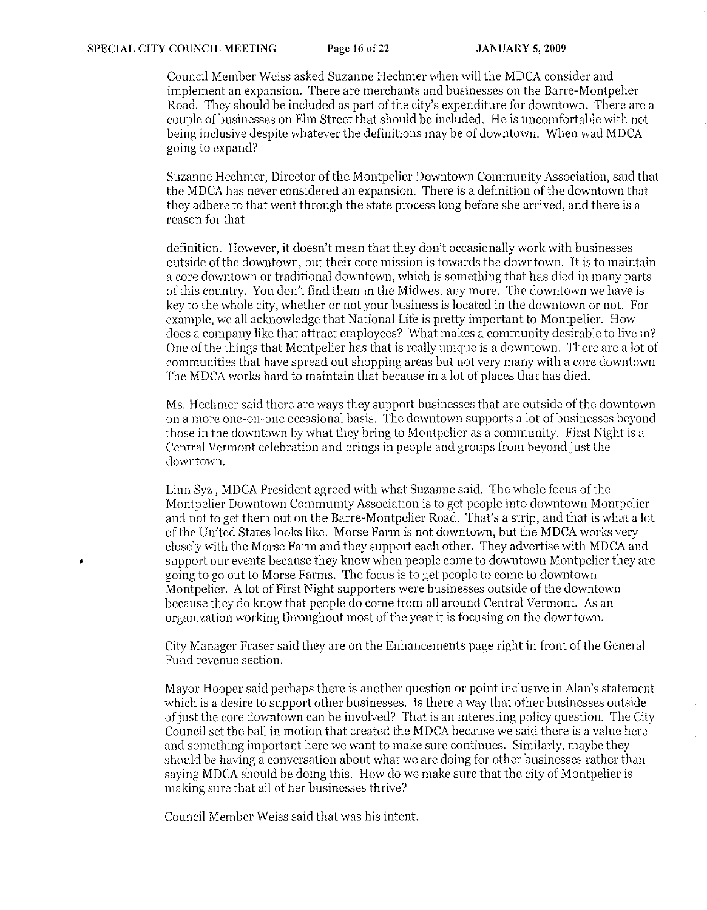Council Member Weiss asked Suzanne Hechmer when will the MDCA consider and implement an expansion. There are merchants and businesses on the Barre-Montpelier Road. They should be included as part of the city's expenditure for downtown. There are a couple of businesses on Elm Street that should be included. He is uncomfortable with not being inclusive despite whatever the definitions may be of downtown. When wad MDCA going to expand?

Suzanne Hechmer, Director of the Montpelier Downtown Community Association, said that the MDCA has never considered an expansion. There is a definition of the downtown that they adhere to that went through the state process long before she arrived, and there is a reason for that

definition. However, it doesn't mean that they don't occasionally work with businesses outside of the downtown, but their core mission is towards the downtown. It is to maintain a core downtown or traditional downtown, which is something that has died in many parts of this country. You don't find them in the Midwest any more. The downtown we have is key to the whole city, whether or not your business is located in the downtown or not. For example, wc all acknowledgc that National Life is pretty important to Montpelier. How does a company like that attract employees? What makes a community desirable to live in? One of the things that Montpelier has that is really unique is a downtown. There are a lot of communities that have spread out shopping areas but not very many with a core downtown. The MDCA works hard to maintain that because in a lot of places that has died.

Ms. Hechmer said therc are ways they support businesses that are outside of the downtown on a more one-on-one occasional basis. The downtown supports a lot of businesses beyond those in the downtown by what they bring to Montpelier as a community. First Night is a Central Vermont celebration and brings in people and groups from beyond just the downtown.

Linn Syz , MDCA President agreed with what Suzanne said. The whole focus of the Montpelier Downtown Community Association is to get people into downtown Montpelier and not to get them out on the Barre-Montpelier Road. That's a strip, and that is what a lot of the United States looks like. Morse Farm is not downtown, but the MDCA works very closely with the Morse Farm and they support each other. They advertise with MDCA and support our events because they know when people come to downtown Montpelier they are going to go out to Morse Farms. The focus is to get people to come to downtown Montpelier. A lot of First Night supporters were businesses outside of the downtown because they do know that people do come from all around Central Vermont. As an organization working throughout most of the year it is focusing on the downtown.

City Manager Frascr said they are on the Enhancements page right in front of the General Fund revenue section.

Mayor Hooper said perhaps there is another question or point inclusive in Alan's statement which is a desire to support other businesses. Is there a way that other businesses outside of just the core downtown can be involved? That is an interesting policy question. The City Council set the ball in motion that created the MDCA because we said there is a value here and something important here we want to make sure continues. Similarly, maybe they should be having a conversation about what we are doing for other businesses rather than saying MDCA should be doing this. How do we make sure that the city of Montpelier is making sure that all of her businesses thrive?

Council Member Weiss said that was his intent.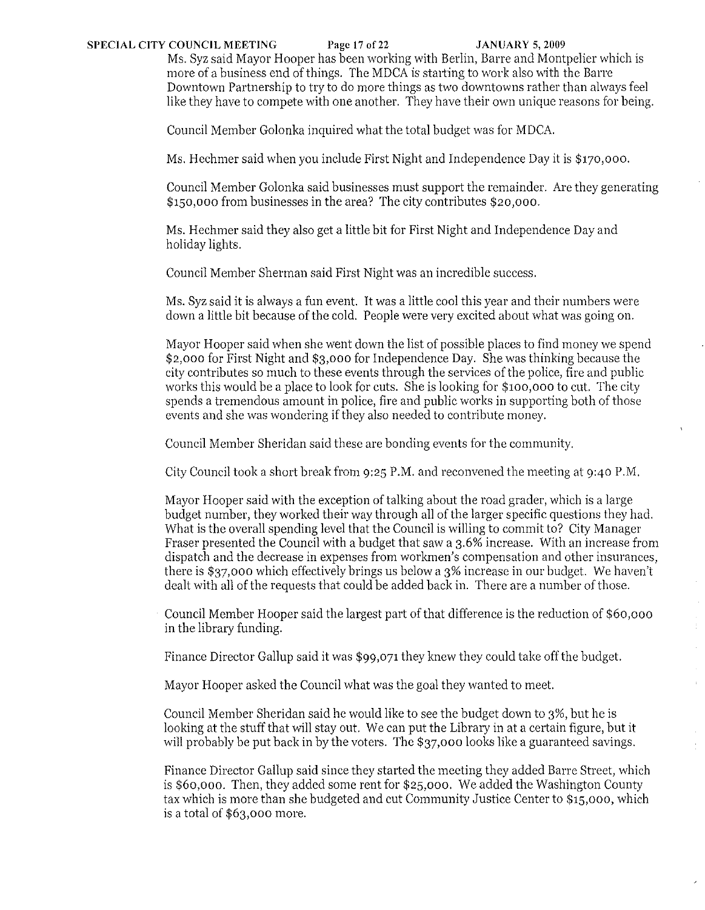# SPECIAL CITY COUNCIL MEETING Page 17 of 22 JANUARY 5, 2009

Ms. Syz said Mayor Hooper has been working with Berlin, Barre and Montpelier which is more of a business end of things. The MDCA is starting to work also with the Barre Downtown Partnership to try to do more things as two downtowns rather than always feel like they have to compete with one another. They have their own unique reasons for being.

Council Member Golonka inquired what the total budget was for MDCA.

Ms. Hechmer said when you include First Night and Independence Day it is \$170,000.

Council Member Golonka said businesses must support the remainder. Are they generating \$150,000 from businesses in the area? The city contributes \$20,000.

Ms. Heehmer said they also get a little bit for First Night and Independence Day and holiday lights.

Council Member Sherman said First Night was an incredible success.

Ms. Syz said it is always a fun event. It was a little cool this year and their numbers were down a little bit because of the cold. People were very excited about what was going on.

Mayor Hooper said when she went down the list of possible places to find money we spend \$2,000 for First Night and \$3,000 for Independence Day. She was thinking because the city contributes so much to these events through the services of the police, fire and public works this would be a place to look for cuts. She is looking for \$100,000 to cut. The city spends a tremendous amount in police, fire and public works in supporting both of those events and she was wondering if they also needed to contribute money.

Council Member Sheridan said these are bonding events for the community.

City Council took a short break from 9:25 P.M. and reconvened the meeting at 9:40 P.M.

Mayor Hooper said with the exception of talking about the road grader, which is a large budget number, they worked their way through all of the larger specific questions they had. What is the overall spending level that the Council is willing to commit to? City Manager Fraser presented the Council with a budget that saw a 3.6% increase. With an increase from dispatch and the decrease in expenses from workmen's compensation and other insurances, there is \$37,000 which effectively brings us below a 3% increase in our budget. We haven't dealt with all of the requests that could be added back in. There are a number of those.

Council Member Hooper said the largest part of that difference is the reduction of \$60,000 in the library funding.

Finance Director Gallup said it was \$99,071 they knew they could take off the budget.

Mayor Hooper asked the Council what was the goal they wanted to meet.

Council Member Sheridan said he would like to see the budget down to 3%, but he is looking at the stuff that will stay out. We can put the Library in at a certain figure, but it will probably be put back in by the voters. The \$37,000 looks like a guaranteed savings.

Finance Director Gallup said since they started the meeting they added Barre Street, which is \$60,000. Then, they added some rent for \$25,000. We added the Washington County tax which is more than she budgeted and cut Community Justice Center to \$15,000, which is a total of \$63,000 more.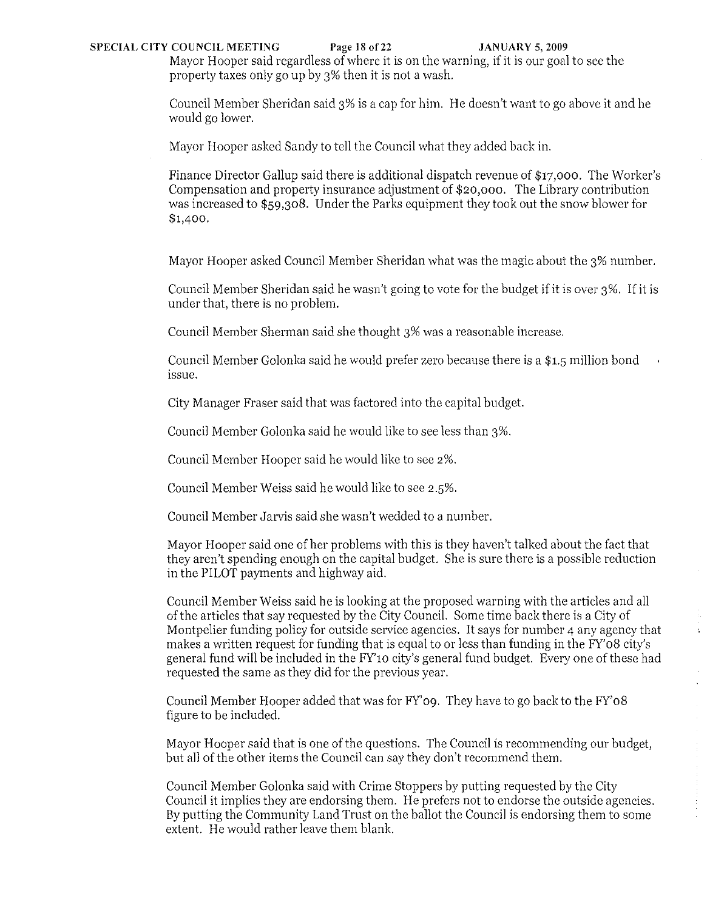### SPECIAL CITY COUNCIL MEETING Page 18 of 22 JANUARY 5, 2009

Mayor Hooper said regardless of where it is on the warning, if it is our goal to see the property taxes only go up by 3% then it is not a wash.

Council Member Sheridan said 3% is a cap for him. He doesn't want to go above it and he would go lower.

Mayor Hooper asked Sandy to tell the Council what they added back in.

Finance Director Gallup said there is additional dispatch revenue of \$17,000. The Worker's Compensation and property insurance adjustment of \$20,000. The Library contribution was increased to \$59,308. Under the Parks cquipment they took out the snow blower for \$1,400.

Mayor Hooper asked Council Member Sheridan what was the magic about the 3% numbcr.

Council Member Sheridan said he wasn't going to vote for the budget if it is over 3%. If it is under that, there is no problem.

Council Member Sherman said she thought 3% was a reasonable increase.

Council Member Golonka said he would prefer zero because there is a \$1.5 million bond issue.

City Manager Fraser said that was factored into the capital budget.

Council Member Golonka said he would like to see less than 3%.

Council Member Hooper said he would like to see 2%.

Council Member Weiss said he would like to see 2.5%.

Council Member Jarvis said she wasn't wedded to a number.

Mayor Hooper said one of her problems with this is they haven't talked about the fact that they aren't spending enough on the capital budget. She is sure there is a possible reduction in the PILOT payments and highway aid.

Council Member Weiss said he is looking at the proposed warning with the articles and all of the articles that say requested by the City Council. Some time back there is a City of Montpelier funding policy for outside service agencies. It says for number 4 any agency that makes a written request for funding that is equal to or less than funding in the FY'08 city's general fund will be included in the FY'10 city's general fund budget. Every one of these had requested the same as they did for the previous year.

Council Member Hooper added that was for FY'09. They have to go back to the FY'08 figure to be included.

Mayor Hooper said that is one of the questions. The Council is recommending our budget, but all of the other items the Council can say they don't recommend them.

Council Member Golonka said with Crime Stoppers by putting requested by the City Council it implies they are endorsing them. He prefers not to endorse the outside agencies. By putting the Community Land Trust on the ballot the Council is endorsing them to some extent. He would rather leave them blank.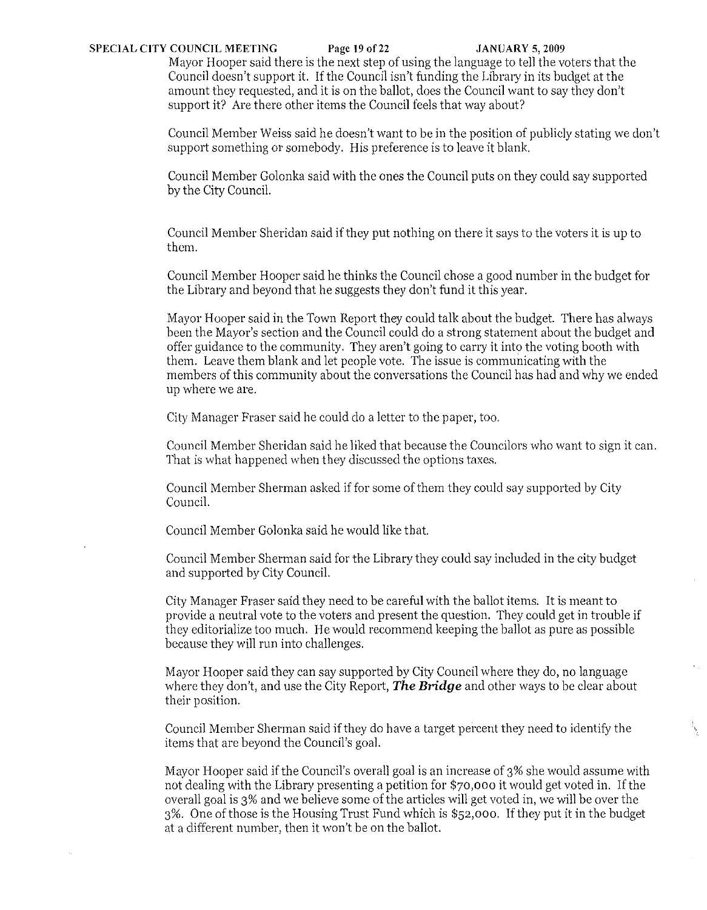## SPECIAL CITY COUNCIL MEETING Page 19 of 22 JANUARY 5, 2009

Mayor Hooper said there is the next step of using the language to tell the voters that the Council doesn't support it. If the Council isn't funding the Library in its budget at the amount they requested, and it is on the ballot, does the Council want to say they don't support it? Are there other items the Council feels that way about?

Council Member Weiss said he doesn't want to be in the position of publicly stating we don't support something or somebody. His preference is to leave it blank.

Council Member Golonka said with the ones the Council puts on they could say supported by the City Council.

Council Member Sheridan said if they put nothing on there it says to the voters it is up to them.

Council Member Hooper said he thinks the Council chose a good number in the budget for the Library and beyond that he suggests they don't fund it this year.

Mayor Hooper said in the Town Report they could talk about the budget. There has always been the Mayor's section and the Council could do a strong statement about the budget and offer guidance to the community. They aren't going to cany it into the voting booth with them. Leave them blank and let people vote. The issue is communicating with the members of this community about the conversations the Council has had and why we ended up where we are.

City Manager Fraser said he could do a letter to the paper, too.

Council Member Sheridan said he liked that because the Councilors who want to sign it can. That is what happened when they discussed the options taxes.

Council Member Sherman asked if for some of them they could say supported by City Council.

Council Member Golonka said he would like that.

Council Member Sherman said for the Library they could say included in the city budget and supported by City Council.

City Manager Fraser said they need to be careful with the ballot items. It is meant to provide a neutral vote to the voters and present the question. They could get in trouble if they editorialize too much. He would recommend keeping the ballot as pure as possible because they will run into challenges.

Mayor Hooper said they can say supported by City Council where they do, no language where they don't, and use the City Report, *The Bridge* and other ways to be clear about their position.

Council Member Sherman said if they do have a target percent they need to identify the items that are beyond the Council's goal.

Mayor Hooper said if the Council's overall goal is an increase of 3% she would assume with not dealing with the Library presenting a petition for \$70,000 it would get voted in. If the overall goal is 3% and we believe some of the articles will get voted in, we will be over the 3%. One of those is the Housing Trust Fund which is \$52,000. If they put it in the budget at a different number, then it won't be on the ballot.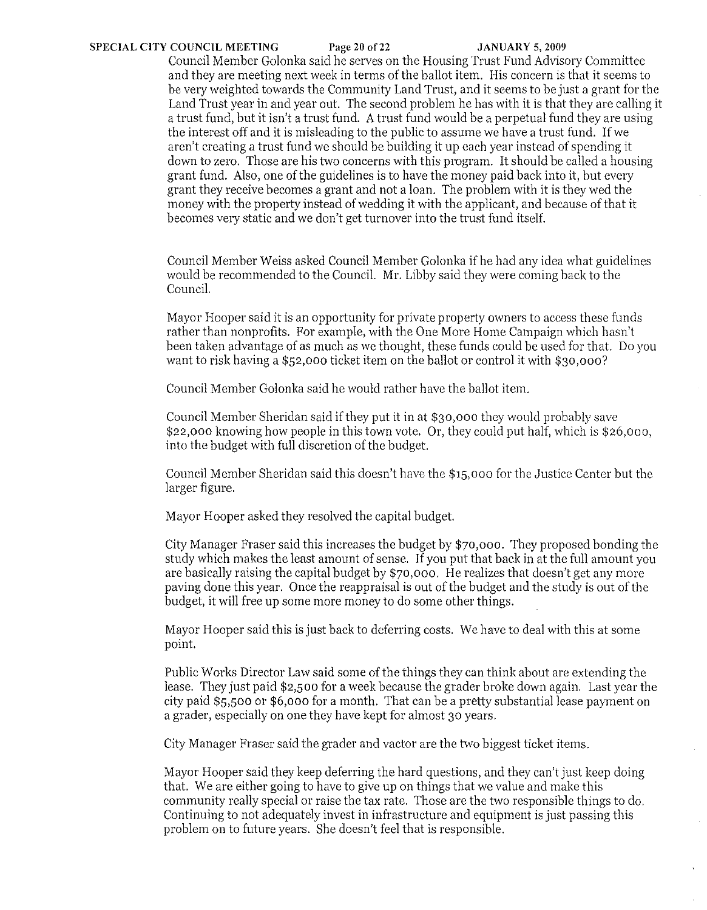### **SPECIAL CITY COUNCIL MEETING** Page 20 of22 **JANUARY** 5, 2009

Council Member Golonka said he serves on the Housing Trust Fund Advisory Committee and they are meeting next week in terms of the ballot item. His concern is that it seems to be very weighted towards the Community Land Trust, and it seems to be just a grant for the Land Trust year in and year out. The second problem he has with it is that they are calling it a trust fund, but it isn't a trust fund. A trust fund would be a perpetual fund they are using the interest off and it is misleading to the public to assume we have a trust fund. If we aren't creating a trust fund we should be building it up each year instead of spending it down to zero. Those are his two concerns with this program. It should be called a housing grant fund. Also, one of the guidelines is to have the money paid back into it, but every grant they receive becomes a grant and not a loan. The problem with it is they wed the money with the property instead of wedding it with the applicant, and because of that it becomes very static and we don't get turnover into the trust fund itself.

Council Member Weiss asked Council Member Golonka ifhe had any idea what guidelines would be recommended to the Council. Mr. Libby said they were coming back to the Council.

Mayor Hooper said it is an opportunity for private property owners to access these funds rather than nonprofits. For example, with the One More Home Campaign which hasn't been taken advantage of as much as we thought, these funds could be used for that. Do you want to risk having a \$52,000 ticket item on the ballot or control it with  $$30,000$ ?

Council Member Golonka said he would rather have the ballot item.

Council Member Sheridan said ifthey put it in at \$30,000 they would probably save \$22,000 knowing how people in this town vote. Or, they could put half, which is \$26,000, into the budget with full discretion of the budget.

Council Member Sheridan said this doesn't have the \$15,000 for the Justice Center but the larger figure.

Mayor Hooper asked they resolved the capital budget.

City Manager Fraser said this increases the budget by \$70,000. They proposed bonding the study which makes the least amount of sense. If you put that back in at the full amount you are basically raising the capital budget by \$70,000. He realizes that doesn't get any more paving done this year. Once the reappraisal is out of the budget and the study is out of the budget, it will free up some more money to do some other things.

Mayor Hooper said this is just back to deferring costs. We have to deal with this at some point.

Public Works Director Law said some of the things they can think about are extending the lease. They just paid \$2,500 for a week because the grader broke down again. Last year the city paid \$5,500 or \$6,000 for a month. That can be a pretty substantial lease payment on a grader, especially on one they have kept for almost 30 years.

City Manager Fraser said the grader and vaetor are the two biggest ticket items.

Mayor Hooper said they keep deferring the hard questions, and they can't just keep doing that. We are either going to have to give up on things that we value and make this community really special or raise the tax rate. Those are the two responsible things to do. Continuing to not adequately invest in infrastructure and equipment is just passing this problem on to future years. She doesn't feel that is responsible.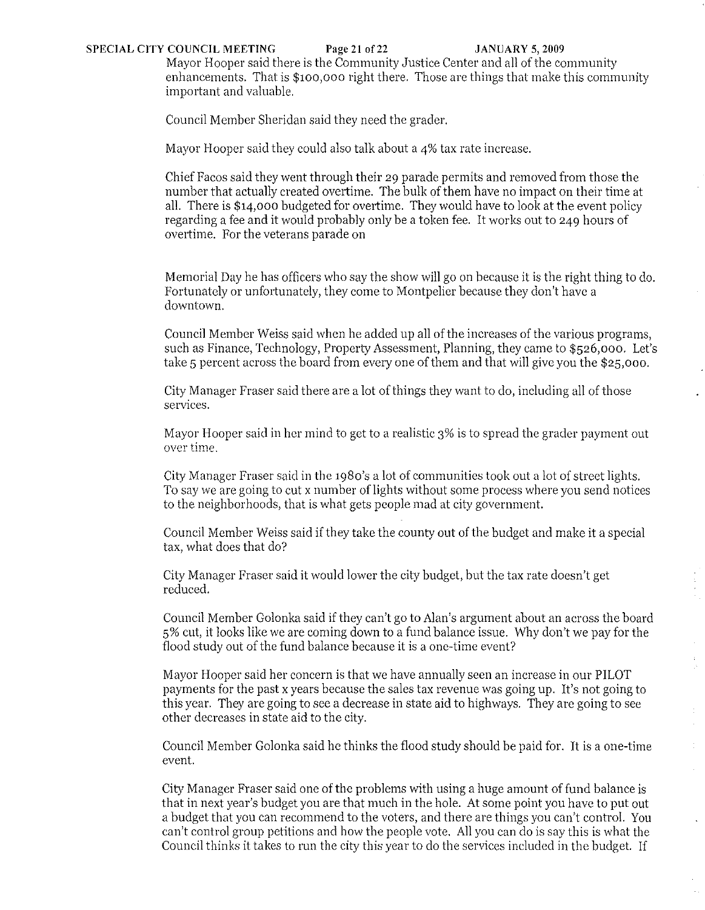# **SPECIAL CITY COUNCIL MEETING Page 21** of22 **JANUARY 5, 2009**

Mayor Hooper said there is the Community Justice Center and all of the community enhancements. That is \$100,000 right there. Those are things that make this community important and valuable.

Council Member Sheridan said they need the grader.

Mayor Hooper said they could also talk about a 4% tax rate increase.

Chief Facos said they went through their 29 parade permits and removed from those the number that actually created overtime. The bulk of them have no impact on their time at all. There is  $$14,000$  budgeted for overtime. They would have to look at the event policy regarding a fee and it would probably only be a token fee. It works out to 249 hours of overtime. For the veterans parade on

Memorial Day he has officers who say the show will go on because it is the right thing to do. Fortunately or unfortunately, they come to Montpelier because they don't have a downtown.

Council Member Weiss said when he added up all of the increases of the various programs, such as Finance, Technology, Property Assessment, Planning, they came to \$526,000. Let's take 5 percent across the board from everyone of them and that will give you the \$25,000.

City Manager Fraser said there are a lot of things they want to do, including all of those services.

Mayor Hooper said in her mind to get to a realistic 3% is to spread the grader payment out **over time.** 

City Manager Fraser said in the 1980'S a lot of communities took out a lot of street lights. To say we are going to cut x number of lights without some process where you send notices to the neighborhoods, that is what gets people mad at city government.

Council Member Weiss said if they take the county out of the budget and make it a special tax, what does that do?

City Manager Fraser said it would lower the city budget, but the tax rate doesn't get reduced.

Council Member Golonka said if they can't go to Alan's argument about an across the board 5% cut, it looks like we are coming down to a fund balance issue. Why don't we pay for the flood study out of the fund balance because it is a one-time event?

 $\hat{\mathcal{L}}$  $\begin{array}{c} 1 \\ 1 \\ 2 \end{array}$ 

 $\Delta \phi$ 

 $\hat{\boldsymbol{\alpha}}$ 

Mayor Hooper said her concern is that we have annually seen an increase in our PILOT payments for the past x years because the sales tax revenue was going up. It's not going to this year. They are going to see a decrease in state aid to highways. They are going to see other decreases in state aid to the city.

Council Member Golonka said he thinks the flood study should be paid for. It is a one-time event.

City Manager Fraser said one of the problems with using a huge amount of fund balance is that in next year's budget you are that much in the hole. At some point you have to put out a budget that you can recommend to the voters, and there are things you can't control. You can't control group petitions and how the people vote. All you can do is say this is what the Council thinks it takes to run the city this year to do the services included in the budget. If